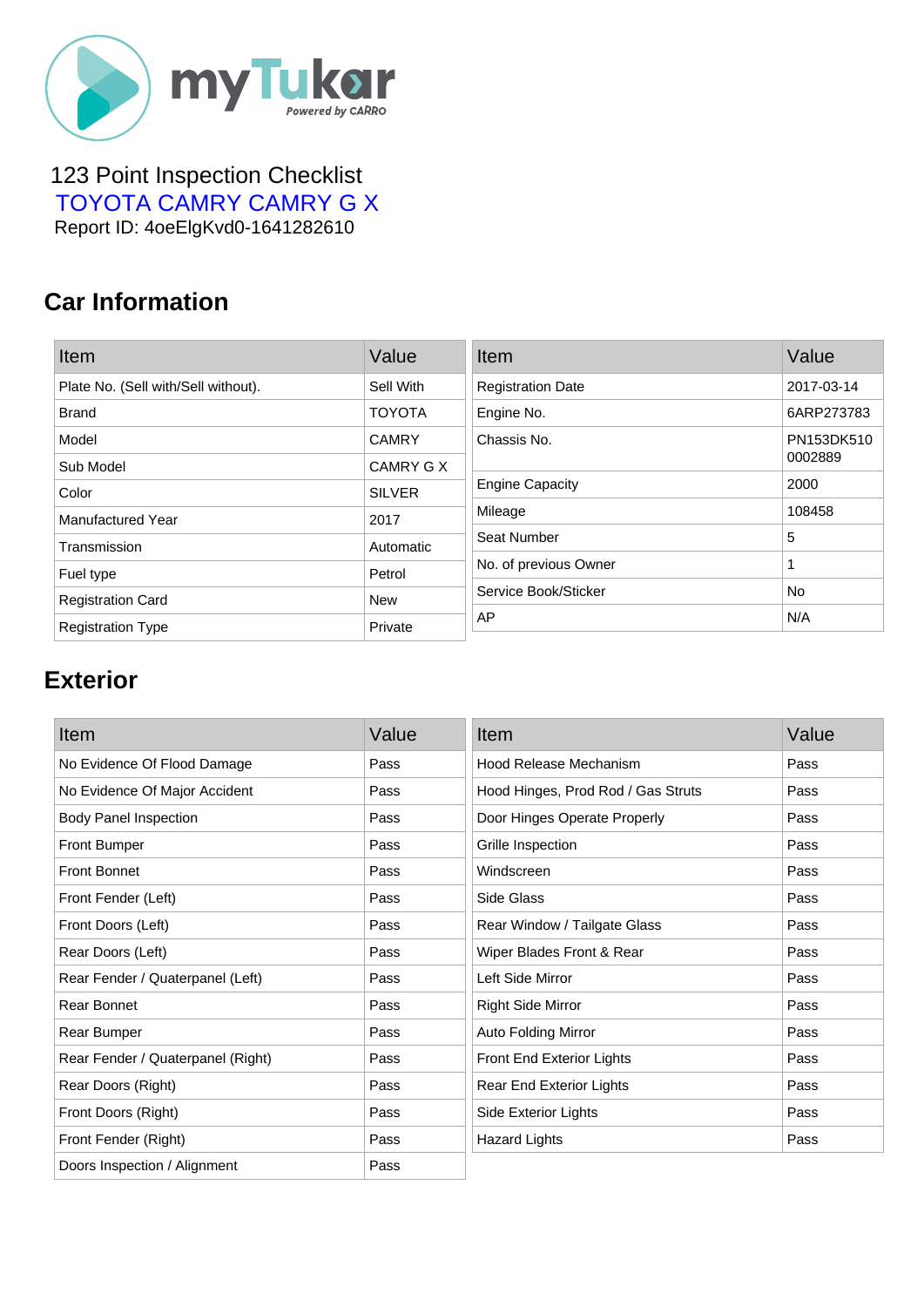

#### 123 Point Inspection Checklist  [TOYOTA CAMRY CAMRY G X](https://mytukar.com/q/E7MV0O) Report ID: 4oeElgKvd0-1641282610

### **Car Information**

| Item                                | Value         | Item                     | Value      |
|-------------------------------------|---------------|--------------------------|------------|
| Plate No. (Sell with/Sell without). | Sell With     | <b>Registration Date</b> | 2017-03-14 |
| <b>Brand</b>                        | <b>TOYOTA</b> | Engine No.               | 6ARP273783 |
| Model                               | <b>CAMRY</b>  | Chassis No.              | PN153DK510 |
| Sub Model                           | CAMRY G X     |                          | 0002889    |
| Color                               | <b>SILVER</b> | <b>Engine Capacity</b>   | 2000       |
| Manufactured Year                   | 2017          | Mileage                  | 108458     |
| Transmission                        | Automatic     | Seat Number              | 5          |
| Fuel type                           | Petrol        | No. of previous Owner    |            |
| <b>Registration Card</b>            | <b>New</b>    | Service Book/Sticker     | No         |
| <b>Registration Type</b>            | Private       | AP                       | N/A        |

# **Exterior**

| Item                              | Value | Item                               | Value |
|-----------------------------------|-------|------------------------------------|-------|
| No Evidence Of Flood Damage       | Pass  | Hood Release Mechanism             | Pass  |
| No Evidence Of Major Accident     | Pass  | Hood Hinges, Prod Rod / Gas Struts | Pass  |
| <b>Body Panel Inspection</b>      | Pass  | Door Hinges Operate Properly       | Pass  |
| <b>Front Bumper</b>               | Pass  | Grille Inspection                  | Pass  |
| <b>Front Bonnet</b>               | Pass  | Windscreen                         | Pass  |
| Front Fender (Left)               | Pass  | Side Glass                         | Pass  |
| Front Doors (Left)                | Pass  | Rear Window / Tailgate Glass       | Pass  |
| Rear Doors (Left)                 | Pass  | Wiper Blades Front & Rear          | Pass  |
| Rear Fender / Quaterpanel (Left)  | Pass  | Left Side Mirror                   | Pass  |
| Rear Bonnet                       | Pass  | <b>Right Side Mirror</b>           | Pass  |
| Rear Bumper                       | Pass  | Auto Folding Mirror                | Pass  |
| Rear Fender / Quaterpanel (Right) | Pass  | Front End Exterior Lights          | Pass  |
| Rear Doors (Right)                | Pass  | Rear End Exterior Lights           | Pass  |
| Front Doors (Right)               | Pass  | Side Exterior Lights               | Pass  |
| Front Fender (Right)              | Pass  | <b>Hazard Lights</b>               | Pass  |
| Doors Inspection / Alignment      | Pass  |                                    |       |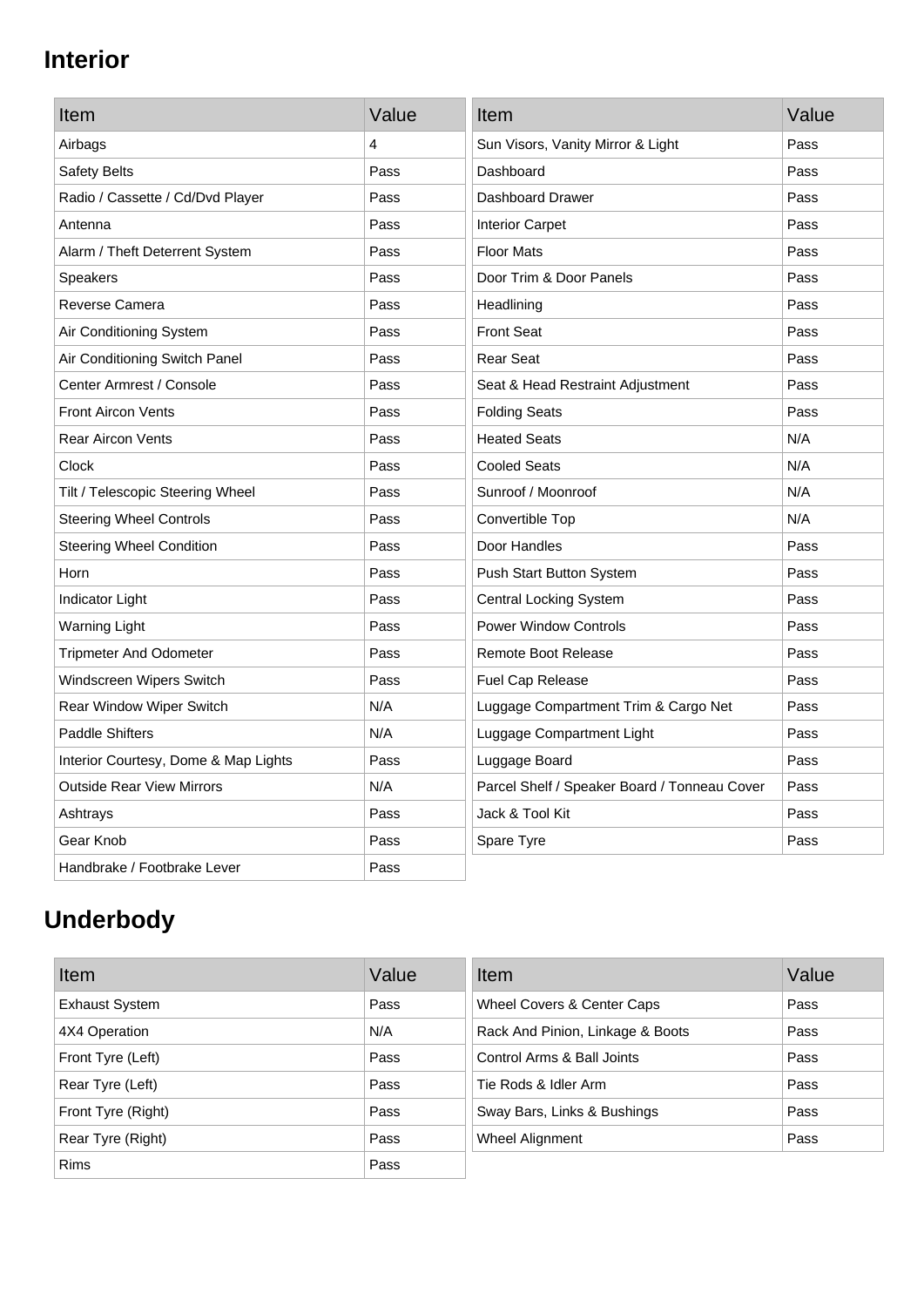## **Interior**

| Item                                 | Value | Item                                         | Value |
|--------------------------------------|-------|----------------------------------------------|-------|
| Airbags                              | 4     | Sun Visors, Vanity Mirror & Light            | Pass  |
| Safety Belts                         | Pass  | Dashboard                                    | Pass  |
| Radio / Cassette / Cd/Dvd Player     | Pass  | Dashboard Drawer                             | Pass  |
| Antenna                              | Pass  | <b>Interior Carpet</b>                       | Pass  |
| Alarm / Theft Deterrent System       | Pass  | <b>Floor Mats</b>                            | Pass  |
| <b>Speakers</b>                      | Pass  | Door Trim & Door Panels                      | Pass  |
| Reverse Camera                       | Pass  | Headlining                                   | Pass  |
| Air Conditioning System              | Pass  | <b>Front Seat</b>                            | Pass  |
| Air Conditioning Switch Panel        | Pass  | <b>Rear Seat</b>                             | Pass  |
| Center Armrest / Console             | Pass  | Seat & Head Restraint Adjustment             | Pass  |
| <b>Front Aircon Vents</b>            | Pass  | <b>Folding Seats</b>                         | Pass  |
| <b>Rear Aircon Vents</b>             | Pass  | <b>Heated Seats</b>                          | N/A   |
| Clock                                | Pass  | <b>Cooled Seats</b>                          | N/A   |
| Tilt / Telescopic Steering Wheel     | Pass  | Sunroof / Moonroof                           | N/A   |
| <b>Steering Wheel Controls</b>       | Pass  | Convertible Top                              | N/A   |
| <b>Steering Wheel Condition</b>      | Pass  | Door Handles                                 | Pass  |
| Horn                                 | Pass  | Push Start Button System                     | Pass  |
| Indicator Light                      | Pass  | <b>Central Locking System</b>                | Pass  |
| <b>Warning Light</b>                 | Pass  | <b>Power Window Controls</b>                 | Pass  |
| <b>Tripmeter And Odometer</b>        | Pass  | <b>Remote Boot Release</b>                   | Pass  |
| Windscreen Wipers Switch             | Pass  | Fuel Cap Release                             | Pass  |
| Rear Window Wiper Switch             | N/A   | Luggage Compartment Trim & Cargo Net         | Pass  |
| <b>Paddle Shifters</b>               | N/A   | Luggage Compartment Light                    | Pass  |
| Interior Courtesy, Dome & Map Lights | Pass  | Luggage Board                                | Pass  |
| <b>Outside Rear View Mirrors</b>     | N/A   | Parcel Shelf / Speaker Board / Tonneau Cover | Pass  |
| Ashtrays                             | Pass  | Jack & Tool Kit                              | Pass  |
| Gear Knob                            | Pass  | Spare Tyre                                   | Pass  |
| Handbrake / Footbrake Lever          | Pass  |                                              |       |

# **Underbody**

| Item                  | Value | Item                             | Value |
|-----------------------|-------|----------------------------------|-------|
| <b>Exhaust System</b> | Pass  | Wheel Covers & Center Caps       | Pass  |
| 4X4 Operation         | N/A   | Rack And Pinion, Linkage & Boots | Pass  |
| Front Tyre (Left)     | Pass  | Control Arms & Ball Joints       | Pass  |
| Rear Tyre (Left)      | Pass  | Tie Rods & Idler Arm             | Pass  |
| Front Tyre (Right)    | Pass  | Sway Bars, Links & Bushings      | Pass  |
| Rear Tyre (Right)     | Pass  | Wheel Alignment                  | Pass  |
| <b>Rims</b>           | Pass  |                                  |       |